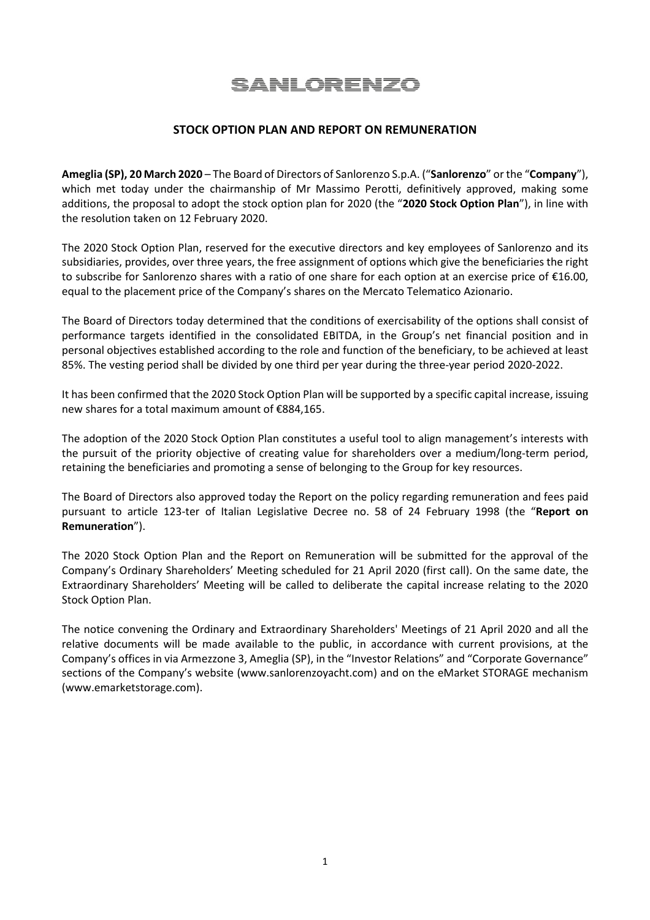## **SANLORENZO**

## **STOCK OPTION PLAN AND REPORT ON REMUNERATION**

**Ameglia (SP), 20 March 2020** – The Board of Directors of Sanlorenzo S.p.A. ("**Sanlorenzo**" or the "**Company**"), which met today under the chairmanship of Mr Massimo Perotti, definitively approved, making some additions, the proposal to adopt the stock option plan for 2020 (the "**2020 Stock Option Plan**"), in line with the resolution taken on 12 February 2020.

The 2020 Stock Option Plan, reserved for the executive directors and key employees of Sanlorenzo and its subsidiaries, provides, over three years, the free assignment of options which give the beneficiaries the right to subscribe for Sanlorenzo shares with a ratio of one share for each option at an exercise price of €16.00, equal to the placement price of the Company's shares on the Mercato Telematico Azionario.

The Board of Directors today determined that the conditions of exercisability of the options shall consist of performance targets identified in the consolidated EBITDA, in the Group's net financial position and in personal objectives established according to the role and function of the beneficiary, to be achieved at least 85%. The vesting period shall be divided by one third per year during the three-year period 2020-2022.

It has been confirmed that the 2020 Stock Option Plan will be supported by a specific capital increase, issuing new shares for a total maximum amount of €884,165.

The adoption of the 2020 Stock Option Plan constitutes a useful tool to align management's interests with the pursuit of the priority objective of creating value for shareholders over a medium/long-term period, retaining the beneficiaries and promoting a sense of belonging to the Group for key resources.

The Board of Directors also approved today the Report on the policy regarding remuneration and fees paid pursuant to article 123-ter of Italian Legislative Decree no. 58 of 24 February 1998 (the "**Report on Remuneration**").

The 2020 Stock Option Plan and the Report on Remuneration will be submitted for the approval of the Company's Ordinary Shareholders' Meeting scheduled for 21 April 2020 (first call). On the same date, the Extraordinary Shareholders' Meeting will be called to deliberate the capital increase relating to the 2020 Stock Option Plan.

The notice convening the Ordinary and Extraordinary Shareholders' Meetings of 21 April 2020 and all the relative documents will be made available to the public, in accordance with current provisions, at the Company's offices in via Armezzone 3, Ameglia (SP), in the "Investor Relations" and "Corporate Governance" sections of the Company's website (www.sanlorenzoyacht.com) and on the eMarket STORAGE mechanism (www.emarketstorage.com).